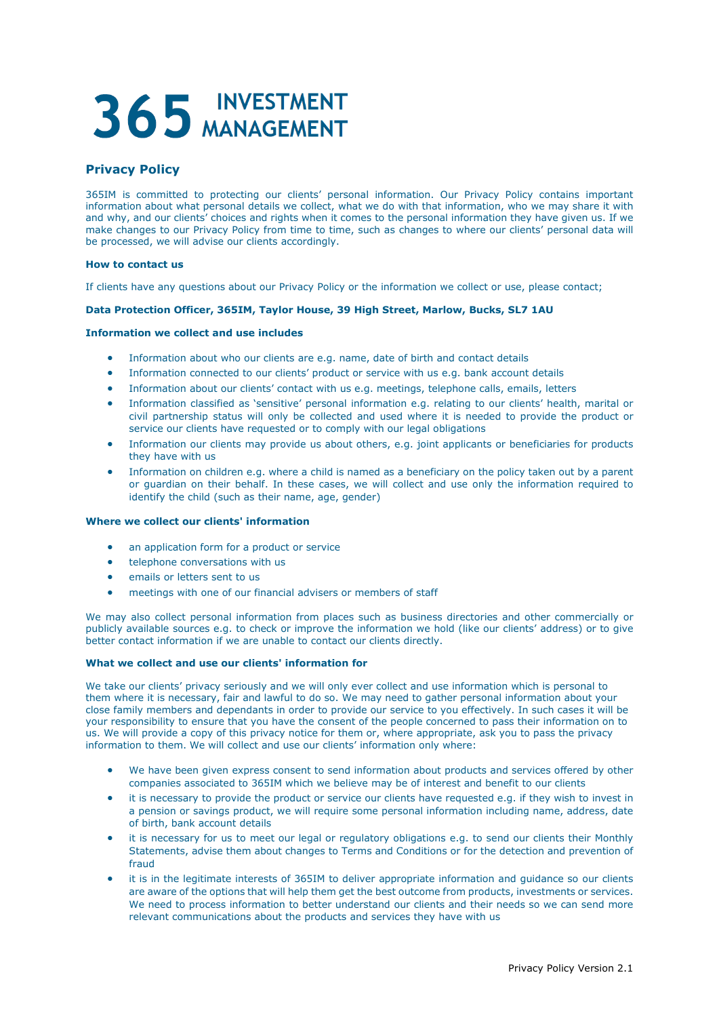# 365 INVESTMENT

# **Privacy Policy**

365IM is committed to protecting our clients' personal information. Our Privacy Policy contains important information about what personal details we collect, what we do with that information, who we may share it with and why, and our clients' choices and rights when it comes to the personal information they have given us. If we make changes to our Privacy Policy from time to time, such as changes to where our clients' personal data will be processed, we will advise our clients accordingly.

# **How to contact us**

If clients have any questions about our Privacy Policy or the information we collect or use, please contact;

# **Data Protection Officer, 365IM, Taylor House, 39 High Street, Marlow, Bucks, SL7 1AU**

# **Information we collect and use includes**

- Information about who our clients are e.g. name, date of birth and contact details
- Information connected to our clients' product or service with us e.g. bank account details
- Information about our clients' contact with us e.g. meetings, telephone calls, emails, letters
- Information classified as 'sensitive' personal information e.g. relating to our clients' health, marital or civil partnership status will only be collected and used where it is needed to provide the product or service our clients have requested or to comply with our legal obligations
- Information our clients may provide us about others, e.g. joint applicants or beneficiaries for products they have with us
- Information on children e.g. where a child is named as a beneficiary on the policy taken out by a parent or guardian on their behalf. In these cases, we will collect and use only the information required to identify the child (such as their name, age, gender)

# **Where we collect our clients' information**

- an application form for a product or service
- telephone conversations with us
- emails or letters sent to us
- meetings with one of our financial advisers or members of staff

We may also collect personal information from places such as business directories and other commercially or publicly available sources e.g. to check or improve the information we hold (like our clients' address) or to give better contact information if we are unable to contact our clients directly.

# **What we collect and use our clients' information for**

We take our clients' privacy seriously and we will only ever collect and use information which is personal to them where it is necessary, fair and lawful to do so. We may need to gather personal information about your close family members and dependants in order to provide our service to you effectively. In such cases it will be your responsibility to ensure that you have the consent of the people concerned to pass their information on to us. We will provide a copy of this privacy notice for them or, where appropriate, ask you to pass the privacy information to them. We will collect and use our clients' information only where:

- We have been given express consent to send information about products and services offered by other companies associated to 365IM which we believe may be of interest and benefit to our clients
- it is necessary to provide the product or service our clients have requested e.g. if they wish to invest in a pension or savings product, we will require some personal information including name, address, date of birth, bank account details
- it is necessary for us to meet our legal or regulatory obligations e.g. to send our clients their Monthly Statements, advise them about changes to Terms and Conditions or for the detection and prevention of fraud
- it is in the legitimate interests of 365IM to deliver appropriate information and guidance so our clients are aware of the options that will help them get the best outcome from products, investments or services. We need to process information to better understand our clients and their needs so we can send more relevant communications about the products and services they have with us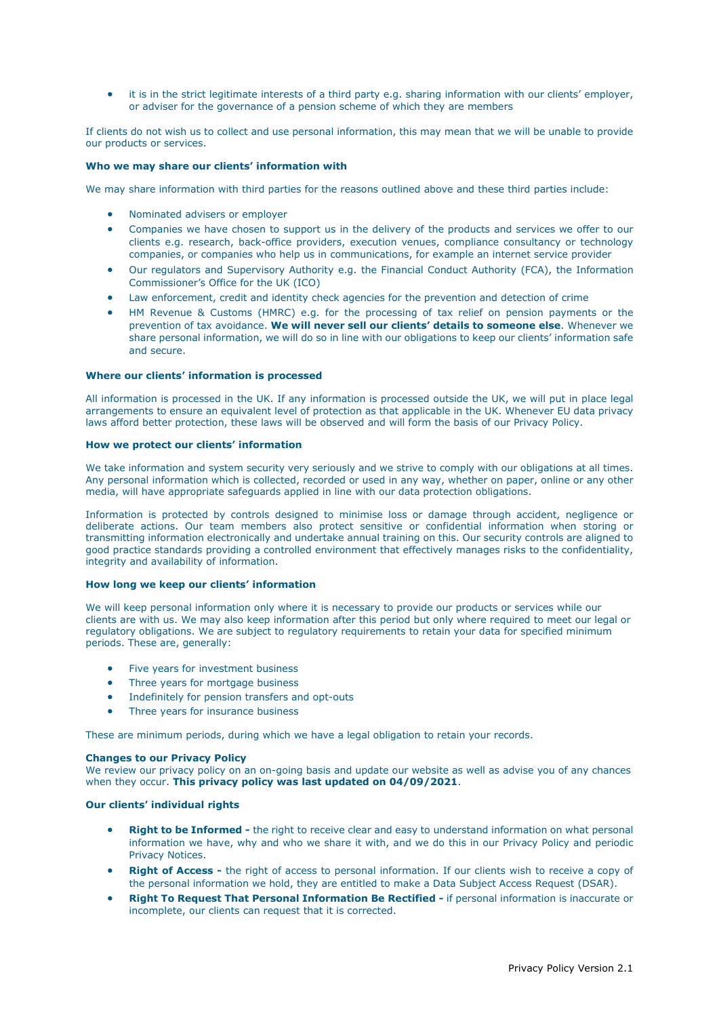• it is in the strict legitimate interests of a third party e.g. sharing information with our clients' employer, or adviser for the governance of a pension scheme of which they are members

If clients do not wish us to collect and use personal information, this may mean that we will be unable to provide our products or services.

# **Who we may share our clients' information with**

We may share information with third parties for the reasons outlined above and these third parties include:

- Nominated advisers or employer
- Companies we have chosen to support us in the delivery of the products and services we offer to our clients e.g. research, back-office providers, execution venues, compliance consultancy or technology companies, or companies who help us in communications, for example an internet service provider
- Our regulators and Supervisory Authority e.g. the Financial Conduct Authority (FCA), the Information Commissioner's Office for the UK (ICO)
- Law enforcement, credit and identity check agencies for the prevention and detection of crime
- HM Revenue & Customs (HMRC) e.g. for the processing of tax relief on pension payments or the prevention of tax avoidance. **We will never sell our clients' details to someone else**. Whenever we share personal information, we will do so in line with our obligations to keep our clients' information safe and secure.

#### **Where our clients' information is processed**

All information is processed in the UK. If any information is processed outside the UK, we will put in place legal arrangements to ensure an equivalent level of protection as that applicable in the UK. Whenever EU data privacy laws afford better protection, these laws will be observed and will form the basis of our Privacy Policy.

#### **How we protect our clients' information**

We take information and system security very seriously and we strive to comply with our obligations at all times. Any personal information which is collected, recorded or used in any way, whether on paper, online or any other media, will have appropriate safeguards applied in line with our data protection obligations.

Information is protected by controls designed to minimise loss or damage through accident, negligence or deliberate actions. Our team members also protect sensitive or confidential information when storing or transmitting information electronically and undertake annual training on this. Our security controls are aligned to good practice standards providing a controlled environment that effectively manages risks to the confidentiality, integrity and availability of information.

#### **How long we keep our clients' information**

We will keep personal information only where it is necessary to provide our products or services while our clients are with us. We may also keep information after this period but only where required to meet our legal or regulatory obligations. We are subject to regulatory requirements to retain your data for specified minimum periods. These are, generally:

- Five years for investment business
- Three years for mortgage business
- Indefinitely for pension transfers and opt-outs
- Three years for insurance business

These are minimum periods, during which we have a legal obligation to retain your records.

#### **Changes to our Privacy Policy**

We review our privacy policy on an on-going basis and update our website as well as advise you of any chances when they occur. **This privacy policy was last updated on 04/09/2021**.

# **Our clients' individual rights**

- **Right to be Informed -** the right to receive clear and easy to understand information on what personal information we have, why and who we share it with, and we do this in our Privacy Policy and periodic Privacy Notices.
- **Right of Access -** the right of access to personal information. If our clients wish to receive a copy of the personal information we hold, they are entitled to make a Data Subject Access Request (DSAR).
- **Right To Request That Personal Information Be Rectified -** if personal information is inaccurate or incomplete, our clients can request that it is corrected.